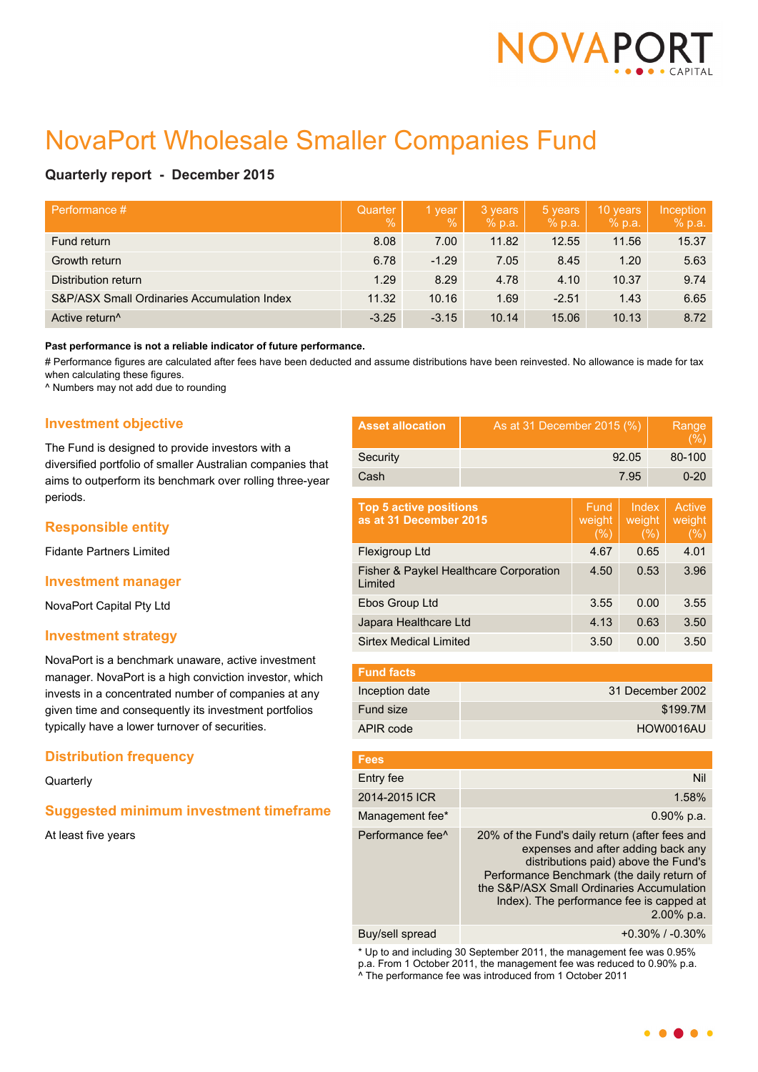

# NovaPort Wholesale Smaller Companies Fund

# **Quarterly report - December 2015**

| Performance #                               | Quarter<br>$\mathcal{A}$ | 1 year<br>$\frac{0}{0}$ | 3 years<br>% p.a. | 5 years<br>$%$ p.a. | 10 years<br>% p.a. | Inception<br>% p.a. |
|---------------------------------------------|--------------------------|-------------------------|-------------------|---------------------|--------------------|---------------------|
| Fund return                                 | 8.08                     | 7.00                    | 11.82             | 12.55               | 11.56              | 15.37               |
| Growth return                               | 6.78                     | $-1.29$                 | 7.05              | 8.45                | 1.20               | 5.63                |
| Distribution return                         | 1.29                     | 8.29                    | 4.78              | 4.10                | 10.37              | 9.74                |
| S&P/ASX Small Ordinaries Accumulation Index | 11.32                    | 10.16                   | 1.69              | $-2.51$             | 1.43               | 6.65                |
| Active return <sup>^</sup>                  | $-3.25$                  | $-3.15$                 | 10.14             | 15.06               | 10.13              | 8.72                |

#### **Past performance is not a reliable indicator of future performance.**

# Performance figures are calculated after fees have been deducted and assume distributions have been reinvested. No allowance is made for tax when calculating these figures.

^ Numbers may not add due to rounding

# **Investment objective**

The Fund is designed to provide investors with a diversified portfolio of smaller Australian companies that aims to outperform its benchmark over rolling three-year periods.

## **Responsible entity**

Fidante Partners Limited

#### **Investment manager**

NovaPort Capital Pty Ltd

## **Investment strategy**

NovaPort is a benchmark unaware, active investment manager. NovaPort is a high conviction investor, which invests in a concentrated number of companies at any given time and consequently its investment portfolios typically have a lower turnover of securities.

## **Distribution frequency**

#### **Quarterly**

## **Suggested minimum investment timeframe**

At least five years

| <b>Asset allocation</b> | As at 31 December 2015 (%) | Range<br>(%) |
|-------------------------|----------------------------|--------------|
| Security                | 92.05                      | 80-100       |
| Cash                    | 7.95                       | $0 - 20$     |

| <b>Top 5 active positions</b><br>as at 31 December 2015 | Fund<br>weight<br>(%) | Index<br>weight<br>(%) | Active<br>weight<br>(%) |
|---------------------------------------------------------|-----------------------|------------------------|-------------------------|
| Flexigroup Ltd                                          | 4.67                  | 0.65                   | 4.01                    |
| Fisher & Paykel Healthcare Corporation<br>Limited       | 4.50                  | 0.53                   | 3.96                    |
| Ebos Group Ltd                                          | 3.55                  | 0.00                   | 3.55                    |
| Japara Healthcare Ltd                                   | 4.13                  | 0.63                   | 3.50                    |
| <b>Sirtex Medical Limited</b>                           | 3.50                  | 0.00                   | 3.50                    |

| <b>Fund facts</b> |                  |
|-------------------|------------------|
| Inception date    | 31 December 2002 |
| Fund size         | \$199.7M         |
| APIR code         | HOW0016AU        |

| <b>Fees</b>                  |                                                                                                                                                                                                                                                                                      |
|------------------------------|--------------------------------------------------------------------------------------------------------------------------------------------------------------------------------------------------------------------------------------------------------------------------------------|
| Entry fee                    | Nil                                                                                                                                                                                                                                                                                  |
| 2014-2015 ICR                | 1.58%                                                                                                                                                                                                                                                                                |
| Management fee*              | $0.90\%$ p.a.                                                                                                                                                                                                                                                                        |
| Performance fee <sup>^</sup> | 20% of the Fund's daily return (after fees and<br>expenses and after adding back any<br>distributions paid) above the Fund's<br>Performance Benchmark (the daily return of<br>the S&P/ASX Small Ordinaries Accumulation<br>Index). The performance fee is capped at<br>$2.00\%$ p.a. |
| Buy/sell spread              | $+0.30\%$ / $-0.30\%$                                                                                                                                                                                                                                                                |

\* Up to and including 30 September 2011, the management fee was 0.95% p.a. From 1 October 2011, the management fee was reduced to 0.90% p.a. ^ The performance fee was introduced from 1 October 2011

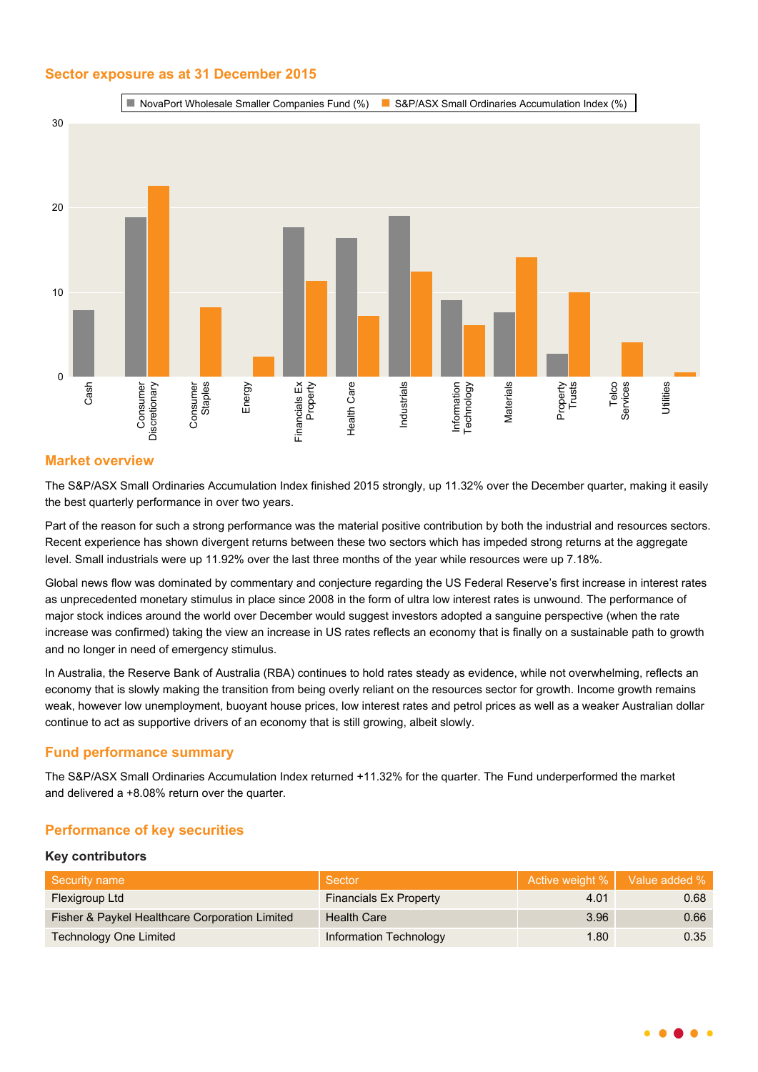# **Sector exposure as at 31 December 2015**



# **Market overview**

The S&P/ASX Small Ordinaries Accumulation Index finished 2015 strongly, up 11.32% over the December quarter, making it easily the best quarterly performance in over two years.

Part of the reason for such a strong performance was the material positive contribution by both the industrial and resources sectors. Recent experience has shown divergent returns between these two sectors which has impeded strong returns at the aggregate level. Small industrials were up 11.92% over the last three months of the year while resources were up 7.18%.

Global news flow was dominated by commentary and conjecture regarding the US Federal Reserve's first increase in interest rates as unprecedented monetary stimulus in place since 2008 in the form of ultra low interest rates is unwound. The performance of major stock indices around the world over December would suggest investors adopted a sanguine perspective (when the rate increase was confirmed) taking the view an increase in US rates reflects an economy that is finally on a sustainable path to growth and no longer in need of emergency stimulus.

In Australia, the Reserve Bank of Australia (RBA) continues to hold rates steady as evidence, while not overwhelming, reflects an economy that is slowly making the transition from being overly reliant on the resources sector for growth. Income growth remains weak, however low unemployment, buoyant house prices, low interest rates and petrol prices as well as a weaker Australian dollar continue to act as supportive drivers of an economy that is still growing, albeit slowly.

# **Fund performance summary**

The S&P/ASX Small Ordinaries Accumulation Index returned +11.32% for the quarter. The Fund underperformed the market and delivered a +8.08% return over the quarter.

# **Performance of key securities**

## **Key contributors**

| Security name                                  | Sector                        |      | Active weight %   Value added % |
|------------------------------------------------|-------------------------------|------|---------------------------------|
| Flexigroup Ltd                                 | <b>Financials Ex Property</b> | 4.01 | 0.68                            |
| Fisher & Paykel Healthcare Corporation Limited | <b>Health Care</b>            | 3.96 | 0.66                            |
| <b>Technology One Limited</b>                  | Information Technology        | 1.80 | 0.35                            |